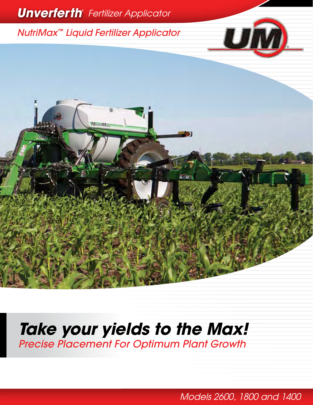

# **Take your yields to the Max!** Precise Placement For Optimum Plant Growth

Models 2600, 1800 and 1400 local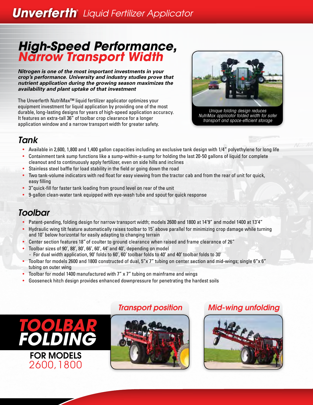## **Unverferth**® Liquid Fertilizer Applicator

### *High-Speed Performance, Narrow Transport Width*

*Nitrogen is one of the most important investments in your crop's performance. University and industry studies prove that nutrient application during the growing season maximizes the availability and plant uptake of that investment*

The Unverferth NutriMax™ liquid fertilizer applicator optimizes your equipment investment for liquid application by providing one of the most durable, long-lasting designs for years of high-speed application accuracy. It features an extra-tall 36" of toolbar crop clearance for a longer application window and a narrow transport width for greater safety.



Unique folding design reduces NutriMax applicator folded width for safer transport and space-efficient storage

#### *Tank*

- Available in 2,600, 1,800 and 1,400 gallon capacities including an exclusive tank design with 1/4" polyethylene for long life
- Containment tank sump functions like a sump-within-a-sump for holding the last 20-50 gallons of liquid for complete cleanout and to continuously apply fertilizer, even on side hills and inclines
- Stainless steel baffle for load stability in the field or going down the road
- Two tank-volume indicators with red float for easy viewing from the tractor cab and from the rear of unit for quick, easy filling
- 3"quick-fill for faster tank loading from ground level on rear of the unit
- 9-gallon clean-water tank equipped with eye-wash tube and spout for quick response

#### *Toolbar*

- Patent-pending, folding design for narrow transport width; models 2600 and 1800 at 14'9" and model 1400 at 13'4"
- Hydraulic wing tilt feature automatically raises toolbar to 15˚ above parallel for minimizing crop damage while turning and 10˚ below horizontal for easily adapting to changing terrain
- Center section features 18" of coulter to ground clearance when raised and frame clearance of 26"
- Toolbar sizes of 90', 88', 80', 66', 60', 44' and 40', depending on model
- For dual width application, 90' folds to 60', 60' toolbar folds to 40' and 40' toolbar folds to 30'
- Toolbar for models 2600 and 1800 constructed of dual, 5"x 7" tubing on center section and mid-wings; single 6"x 6" tubing on outer wing
- Toolbar for model 1400 manufactured with 7" x 7" tubing on mainframe and wings
- Gooseneck hitch design provides enhanced downpressure for penetrating the hardest soils





#### *Transport position Mid-wing unfolding*

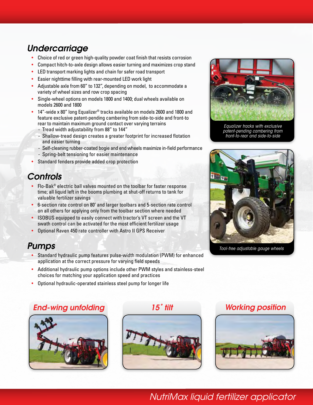#### *Undercarriage*

- Choice of red or green high-quality powder coat finish that resists corrosion
- Compact hitch-to-axle design allows easier turning and maximizes crop stand
- LED transport marking lights and chain for safer road transport
- Easier nighttime filling with rear-mounted LED work light
- Adjustable axle from 60" to 132", depending on model, to accommodate a variety of wheel sizes and row crop spacing
- Single-wheel options on models 1800 and 1400; dual wheels available on models 2600 and 1800
- 14"-wide x 80" long Equalizer® tracks available on models 2600 and 1800 and feature exclusive patent-pending cambering from side-to-side and front-to rear to maintain maximum ground contact over varying terrains
	- Tread width adjustability from 88" to 144"
	- Shallow-tread design creates a greater footprint for increased flotation and easier turning
	- Self-cleaning rubber-coated bogie and end wheels maximize in-field performance
	- Spring-belt tensioning for easier maintenance
- Standard fenders provide added crop protection

#### *Controls*

- Flo-Bak® electric ball valves mounted on the toolbar for faster response time; all liquid left in the booms plumbing at shut-off returns to tank for valuable fertilizer savings
- 6-section rate control on 80' and larger toolbars and 5-section rate control on all others for applying only from the toolbar section where needed
- ISOBUS equipped to easily connect with tractor's VT screen and the VT swath control can be activated for the most efficient fertilizer usage
- Optional Raven 450 rate controller with Astro II GPS Receiver

#### *Pumps*

- Standard hydraulic pump features pulse-width modulation (PWM) for enhanced application at the correct pressure for varying field speeds
- Additional hydraulic pump options include other PWM styles and stainless-steel choices for matching your application speed and practices
- Optional hydraulic-operated stainless steel pump for longer life

#### *End-wing unfolding 15˚ tilt Working position*











Equalizer tracks with exclusive patent-pending cambering from front-to-rear and side-to-side



Tool-free adjustable gauge wheels

NutriMax liquid fertilizer applicator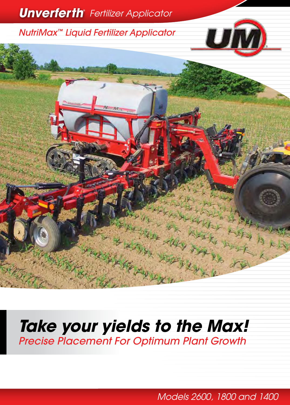

# **Take your yields to the Max!** Precise Placement For Optimum Plant Growth

NutriMax liquid fertilizer applicator Models 1315, 1115, 1015 Models 2600, 1800 and 1400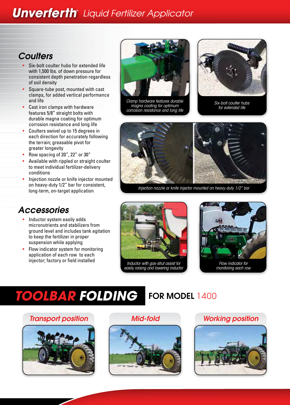**Unverferth**® Liquid Fertilizer Applicator

#### *Coulters*

- Six-bolt coulter hubs for extended life with 1,500 lbs. of down pressure for consistent depth penetration regardless of soil density
- Square-tube post, mounted with cast clamps, for added vertical performance and life
- Cast iron clamps with hardware features 5/8" straight bolts with durable magna coating for optimum corrosion resistance and long life
- Coulters swivel up to 15 degrees in each direction for accurately following the terrain; greasable pivot for greater longevity
- Row spacing of 20", 22" or 30"
- Available with rippled or straight coulter to meet individual fertilizer-delivery conditions
- Injection nozzle or knife injector mounted on heavy-duty 1/2" bar for consistent, long-term, on-target application

#### *Accessories*

- Inductor system easily adds micronutrients and stabilizers from ground level and includes tank agitation to keep the fertilizer in proper suspension while applying
- Flow indicator system for monitoring application of each row to each injector; factory or field installed



Clamp hardware features durable magna coating for optimum corrosion resistance and long life



Six-bolt coulter hubs for extended life



Injection nozzle or knife injector mounted on heavy-duty 1/2" bar





monitoring each row

# *TOOLBAR FOLDING*

### FOR MODEL 1400

#### *Transport position Mid-fold*